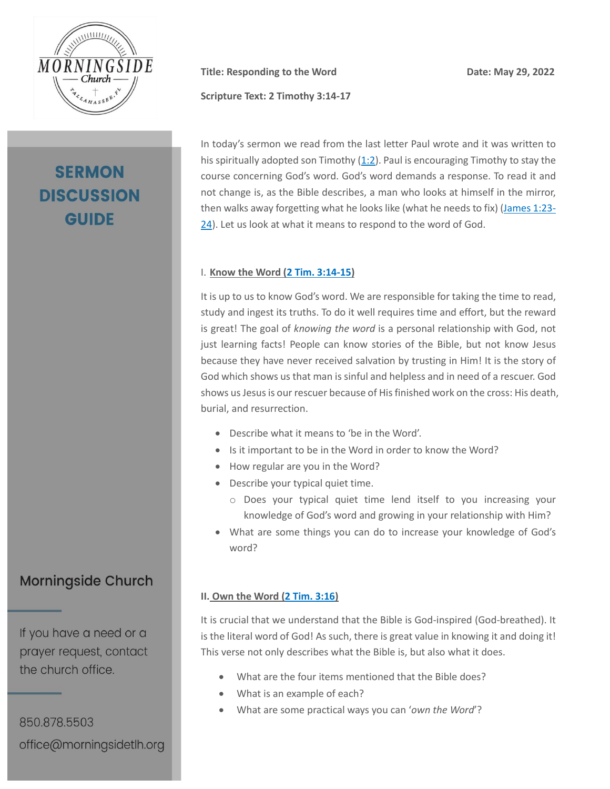

# **SERMON DISCUSSION GUIDE**

**Title:** Responding to the Word Date: May 29, 2022

**Scripture Text: 2 Timothy 3:14-17**

In today's sermon we read from the last letter Paul wrote and it was written to his spiritually adopted son Timothy [\(1:2\)](https://my.bible.com/bible/1713/2TI.1.2.csb). Paul is encouraging Timothy to stay the course concerning God's word. God's word demands a response. To read it and not change is, as the Bible describes, a man who looks at himself in the mirror, then walks away forgetting what he looks like (what he needs to fix) [\(James 1:23-](https://my.bible.com/bible/1713/JAS.1.23-24.csb) [24\)](https://my.bible.com/bible/1713/JAS.1.23-24.csb). Let us look at what it means to respond to the word of God.

#### I. **Know the Word [\(2 Tim. 3:14-15\)](https://my.bible.com/bible/1713/2TI.3.14-15.csb)**

It is up to us to know God's word. We are responsible for taking the time to read, study and ingest its truths. To do it well requires time and effort, but the reward is great! The goal of *knowing the word* is a personal relationship with God, not just learning facts! People can know stories of the Bible, but not know Jesus because they have never received salvation by trusting in Him! It is the story of God which shows us that man is sinful and helpless and in need of a rescuer. God shows us Jesus is our rescuer because of His finished work on the cross: His death, burial, and resurrection.

- Describe what it means to 'be in the Word'.
- Is it important to be in the Word in order to know the Word?
- How regular are you in the Word?
- Describe your typical quiet time.
	- o Does your typical quiet time lend itself to you increasing your knowledge of God's word and growing in your relationship with Him?
- What are some things you can do to increase your knowledge of God's word?

#### **II. Own the Word [\(2 Tim. 3:16\)](https://my.bible.com/bible/1713/2TI.3.16.csb)**

It is crucial that we understand that the Bible is God-inspired (God-breathed). It is the literal word of God! As such, there is great value in knowing it and doing it! This verse not only describes what the Bible is, but also what it does.

- What are the four items mentioned that the Bible does?
- What is an example of each?
- What are some practical ways you can '*own the Word*'?

**Morningside Church** 

If you have a need or a prayer request, contact the church office.

850.878.5503 office@morningsidetlh.org